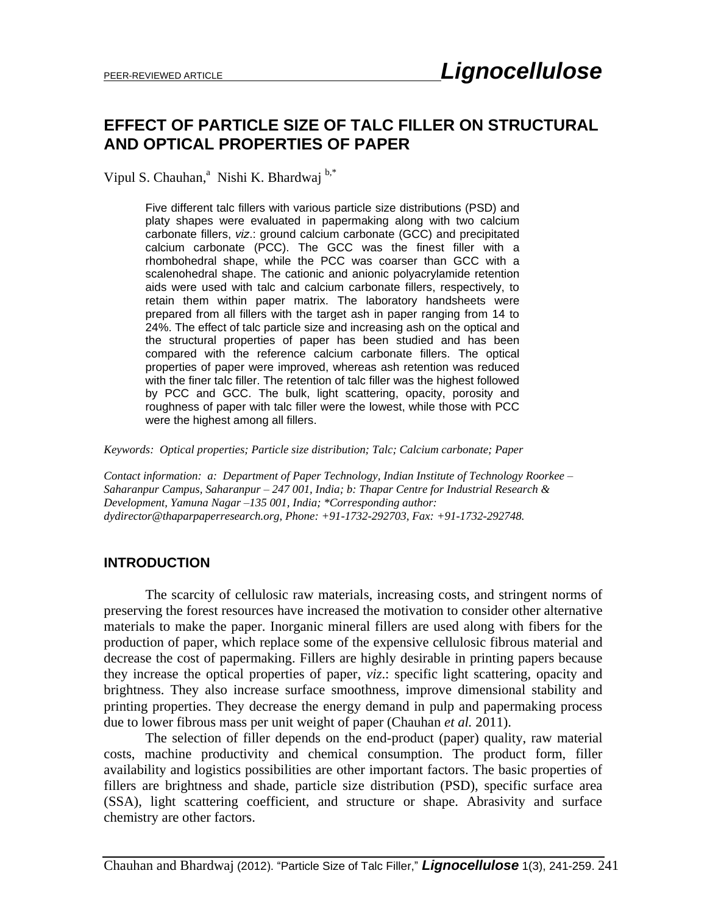### **EFFECT OF PARTICLE SIZE OF TALC FILLER ON STRUCTURAL AND OPTICAL PROPERTIES OF PAPER**

Vipul S. Chauhan,<sup>a</sup> Nishi K. Bhardwaj b,\*

Five different talc fillers with various particle size distributions (PSD) and platy shapes were evaluated in papermaking along with two calcium carbonate fillers, *viz*.: ground calcium carbonate (GCC) and precipitated calcium carbonate (PCC). The GCC was the finest filler with a rhombohedral shape, while the PCC was coarser than GCC with a scalenohedral shape. The cationic and anionic polyacrylamide retention aids were used with talc and calcium carbonate fillers, respectively, to retain them within paper matrix. The laboratory handsheets were prepared from all fillers with the target ash in paper ranging from 14 to 24%. The effect of talc particle size and increasing ash on the optical and the structural properties of paper has been studied and has been compared with the reference calcium carbonate fillers. The optical properties of paper were improved, whereas ash retention was reduced with the finer talc filler. The retention of talc filler was the highest followed by PCC and GCC. The bulk, light scattering, opacity, porosity and roughness of paper with talc filler were the lowest, while those with PCC were the highest among all fillers.

*Keywords: Optical properties; Particle size distribution; Talc; Calcium carbonate; Paper*

*Contact information: a: Department of Paper Technology, Indian Institute of Technology Roorkee – Saharanpur Campus, Saharanpur – 247 001, India; b: Thapar Centre for Industrial Research & Development, Yamuna Nagar –135 001, India; \*Corresponding author: dydirector@thaparpaperresearch.org, Phone: +91-1732-292703, Fax: +91-1732-292748.*

### **INTRODUCTION**

The scarcity of cellulosic raw materials, increasing costs, and stringent norms of preserving the forest resources have increased the motivation to consider other alternative materials to make the paper. Inorganic mineral fillers are used along with fibers for the production of paper, which replace some of the expensive cellulosic fibrous material and decrease the cost of papermaking. Fillers are highly desirable in printing papers because they increase the optical properties of paper, *viz*.: specific light scattering, opacity and brightness. They also increase surface smoothness, improve dimensional stability and printing properties. They decrease the energy demand in pulp and papermaking process due to lower fibrous mass per unit weight of paper (Chauhan *et al.* 2011).

The selection of filler depends on the end-product (paper) quality, raw material costs, machine productivity and chemical consumption. The product form, filler availability and logistics possibilities are other important factors. The basic properties of fillers are brightness and shade, particle size distribution (PSD), specific surface area (SSA), light scattering coefficient, and structure or shape. Abrasivity and surface chemistry are other factors.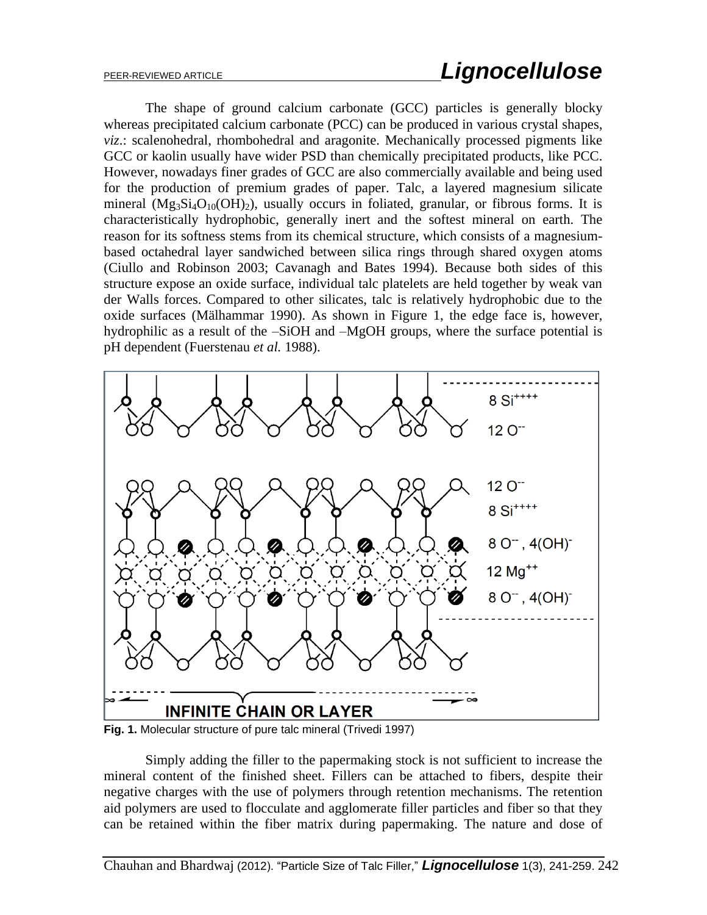The shape of ground calcium carbonate (GCC) particles is generally blocky whereas precipitated calcium carbonate (PCC) can be produced in various crystal shapes, *viz*.: scalenohedral, rhombohedral and aragonite. Mechanically processed pigments like GCC or kaolin usually have wider PSD than chemically precipitated products, like PCC. However, nowadays finer grades of GCC are also commercially available and being used for the production of premium grades of paper. Talc, a layered magnesium silicate mineral (Mg<sub>3</sub>Si<sub>4</sub>O<sub>10</sub>(OH)<sub>2</sub>), usually occurs in foliated, granular, or fibrous forms. It is characteristically hydrophobic, generally inert and the softest mineral on earth. The reason for its softness stems from its chemical structure, which consists of a magnesiumbased octahedral layer sandwiched between silica rings through shared oxygen atoms (Ciullo and Robinson 2003; Cavanagh and Bates 1994). Because both sides of this structure expose an oxide surface, individual talc platelets are held together by weak van der Walls forces. Compared to other silicates, talc is relatively hydrophobic due to the oxide surfaces (Mälhammar 1990). As shown in Figure 1, the edge face is, however, hydrophilic as a result of the –SiOH and –MgOH groups, where the surface potential is pH dependent (Fuerstenau *et al.* 1988).



**Fig. 1.** Molecular structure of pure talc mineral (Trivedi 1997)

Simply adding the filler to the papermaking stock is not sufficient to increase the mineral content of the finished sheet. Fillers can be attached to fibers, despite their negative charges with the use of polymers through retention mechanisms. The retention aid polymers are used to flocculate and agglomerate filler particles and fiber so that they can be retained within the fiber matrix during papermaking. The nature and dose of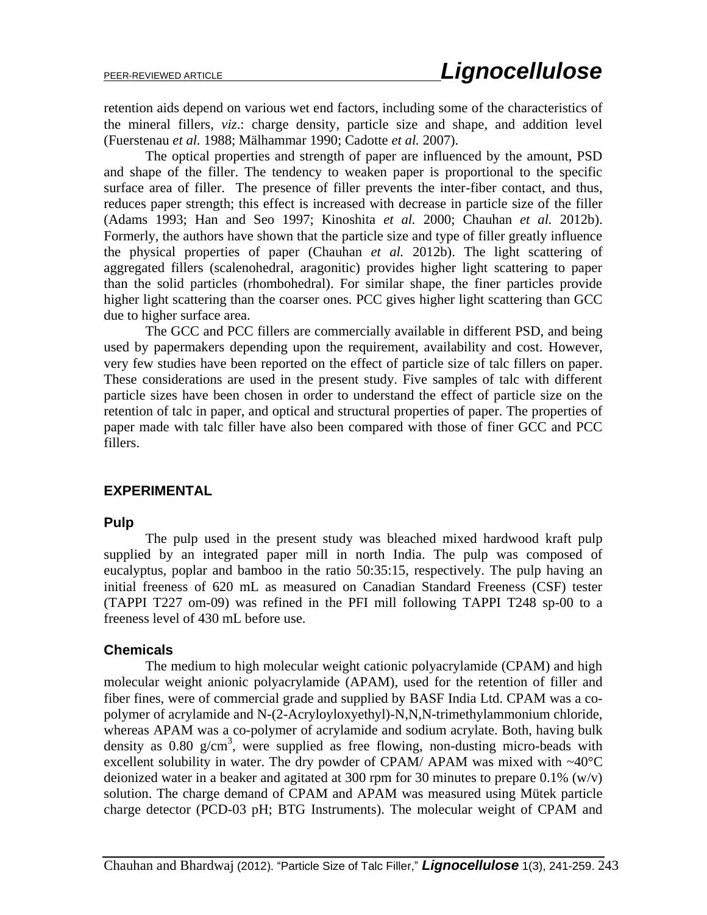retention aids depend on various wet end factors, including some of the characteristics of the mineral fillers, *viz*.: charge density, particle size and shape, and addition level (Fuerstenau *et al.* 1988; Mälhammar 1990; Cadotte *et al.* 2007).

The optical properties and strength of paper are influenced by the amount, PSD and shape of the filler. The tendency to weaken paper is proportional to the specific surface area of filler. The presence of filler prevents the inter-fiber contact, and thus, reduces paper strength; this effect is increased with decrease in particle size of the filler (Adams 1993; Han and Seo 1997; Kinoshita *et al.* 2000; Chauhan *et al.* 2012b). Formerly, the authors have shown that the particle size and type of filler greatly influence the physical properties of paper (Chauhan *et al.* 2012b). The light scattering of aggregated fillers (scalenohedral, aragonitic) provides higher light scattering to paper than the solid particles (rhombohedral). For similar shape, the finer particles provide higher light scattering than the coarser ones. PCC gives higher light scattering than GCC due to higher surface area.

The GCC and PCC fillers are commercially available in different PSD, and being used by papermakers depending upon the requirement, availability and cost. However, very few studies have been reported on the effect of particle size of talc fillers on paper. These considerations are used in the present study. Five samples of talc with different particle sizes have been chosen in order to understand the effect of particle size on the retention of talc in paper, and optical and structural properties of paper. The properties of paper made with talc filler have also been compared with those of finer GCC and PCC fillers.

### **EXPERIMENTAL**

### **Pulp**

The pulp used in the present study was bleached mixed hardwood kraft pulp supplied by an integrated paper mill in north India. The pulp was composed of eucalyptus, poplar and bamboo in the ratio 50:35:15, respectively. The pulp having an initial freeness of 620 mL as measured on Canadian Standard Freeness (CSF) tester (TAPPI T227 om-09) was refined in the PFI mill following TAPPI T248 sp-00 to a freeness level of 430 mL before use.

### **Chemicals**

The medium to high molecular weight cationic polyacrylamide (CPAM) and high molecular weight anionic polyacrylamide (APAM), used for the retention of filler and fiber fines, were of commercial grade and supplied by BASF India Ltd. CPAM was a copolymer of acrylamide and N-(2-Acryloyloxyethyl)-N,N,N-trimethylammonium chloride, whereas APAM was a co-polymer of acrylamide and sodium acrylate. Both, having bulk density as  $0.80 \text{ g/cm}^3$ , were supplied as free flowing, non-dusting micro-beads with excellent solubility in water. The dry powder of CPAM/ APAM was mixed with  $\sim40^{\circ}$ C deionized water in a beaker and agitated at 300 rpm for 30 minutes to prepare 0.1% (w/v) solution. The charge demand of CPAM and APAM was measured using Mütek particle charge detector (PCD-03 pH; BTG Instruments). The molecular weight of CPAM and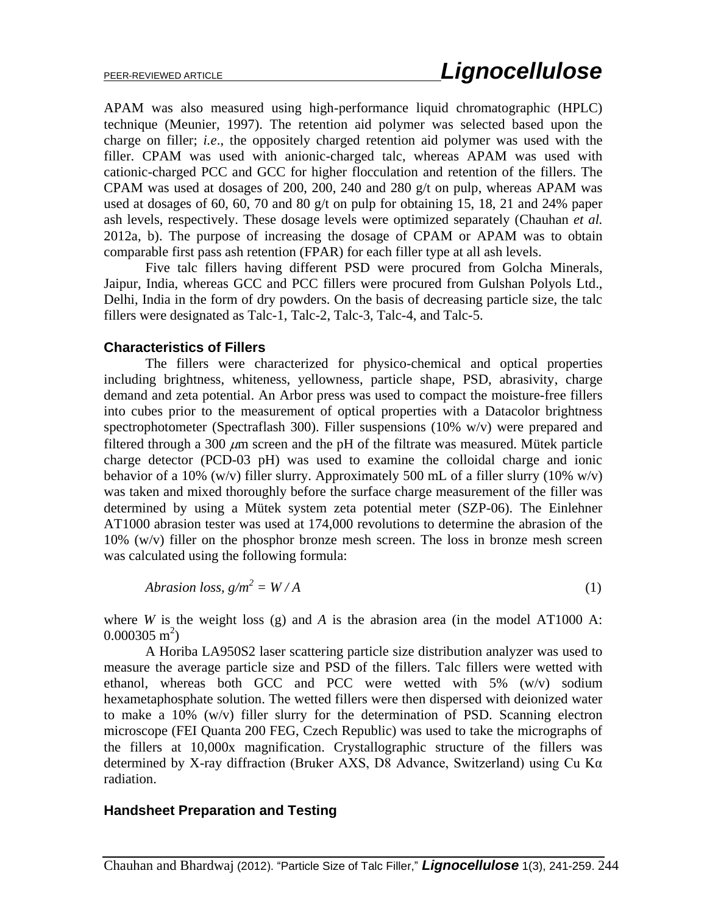APAM was also measured using high-performance liquid chromatographic (HPLC) technique (Meunier, 1997). The retention aid polymer was selected based upon the charge on filler; *i.e*., the oppositely charged retention aid polymer was used with the filler. CPAM was used with anionic-charged talc, whereas APAM was used with cationic-charged PCC and GCC for higher flocculation and retention of the fillers. The CPAM was used at dosages of 200, 200, 240 and 280 g/t on pulp, whereas APAM was used at dosages of 60, 60, 70 and 80 g/t on pulp for obtaining 15, 18, 21 and 24% paper ash levels, respectively. These dosage levels were optimized separately (Chauhan *et al.* 2012a, b). The purpose of increasing the dosage of CPAM or APAM was to obtain comparable first pass ash retention (FPAR) for each filler type at all ash levels.

Five talc fillers having different PSD were procured from Golcha Minerals, Jaipur, India, whereas GCC and PCC fillers were procured from Gulshan Polyols Ltd., Delhi, India in the form of dry powders. On the basis of decreasing particle size, the talc fillers were designated as Talc-1, Talc-2, Talc-3, Talc-4, and Talc-5.

### **Characteristics of Fillers**

The fillers were characterized for physico-chemical and optical properties including brightness, whiteness, yellowness, particle shape, PSD, abrasivity, charge demand and zeta potential. An Arbor press was used to compact the moisture-free fillers into cubes prior to the measurement of optical properties with a Datacolor brightness spectrophotometer (Spectraflash 300). Filler suspensions (10% w/v) were prepared and filtered through a 300  $\mu$ m screen and the pH of the filtrate was measured. Mütek particle charge detector (PCD-03 pH) was used to examine the colloidal charge and ionic behavior of a 10% (w/v) filler slurry. Approximately 500 mL of a filler slurry (10% w/v) was taken and mixed thoroughly before the surface charge measurement of the filler was determined by using a Mütek system zeta potential meter (SZP-06). The Einlehner AT1000 abrasion tester was used at 174,000 revolutions to determine the abrasion of the 10% (w/v) filler on the phosphor bronze mesh screen. The loss in bronze mesh screen was calculated using the following formula:

$$
A \text{ brasion loss}, \ g/m^2 = W/A \tag{1}
$$

where *W* is the weight loss (g) and *A* is the abrasion area (in the model AT1000 A:  $0.000305 \text{ m}^2$ )

A Horiba LA950S2 laser scattering particle size distribution analyzer was used to measure the average particle size and PSD of the fillers. Talc fillers were wetted with ethanol, whereas both GCC and PCC were wetted with 5% (w/v) sodium hexametaphosphate solution. The wetted fillers were then dispersed with deionized water to make a 10% (w/v) filler slurry for the determination of PSD. Scanning electron microscope (FEI Quanta 200 FEG, Czech Republic) was used to take the micrographs of the fillers at 10,000x magnification. Crystallographic structure of the fillers was determined by X-ray diffraction (Bruker AXS, D8 Advance, Switzerland) using Cu Kα radiation.

### **Handsheet Preparation and Testing**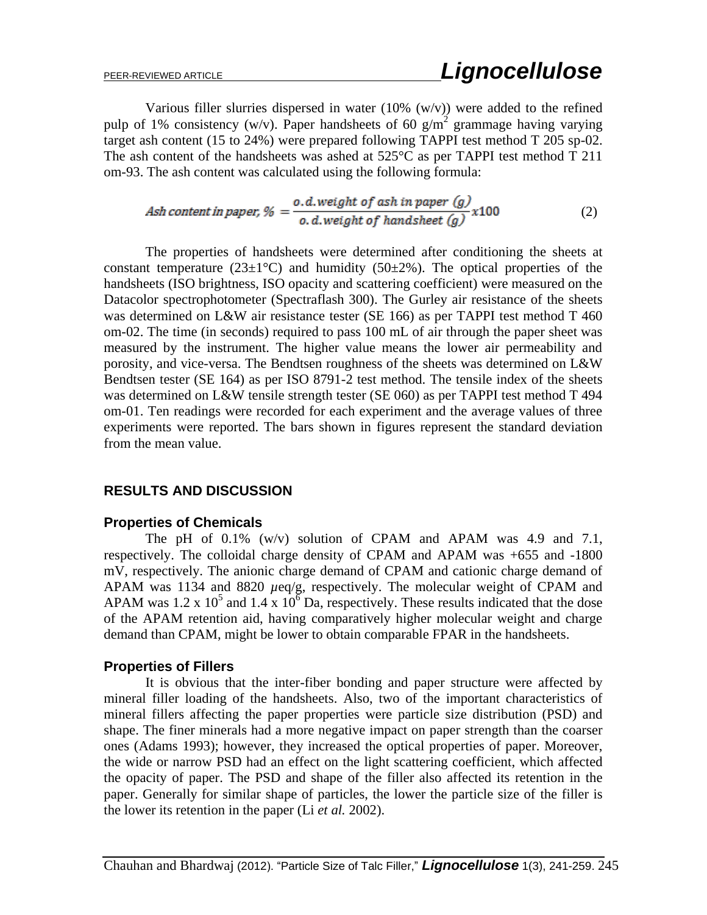Various filler slurries dispersed in water  $(10\% (w/v))$  were added to the refined pulp of 1% consistency (w/v). Paper handsheets of 60  $g/m^2$  grammage having varying target ash content (15 to 24%) were prepared following TAPPI test method T 205 sp-02. The ash content of the handsheets was ashed at  $525^{\circ}$ C as per TAPPI test method T 211 om-93. The ash content was calculated using the following formula:

$$
Ash content in paper, \% = \frac{o.d.weight of ash in paper (g)}{o.d.weight of handsheet (g)} x100
$$
\n(2)

The properties of handsheets were determined after conditioning the sheets at constant temperature (23 $\pm$ 1°C) and humidity (50 $\pm$ 2%). The optical properties of the handsheets (ISO brightness, ISO opacity and scattering coefficient) were measured on the Datacolor spectrophotometer (Spectraflash 300). The Gurley air resistance of the sheets was determined on L&W air resistance tester (SE 166) as per TAPPI test method T 460 om-02. The time (in seconds) required to pass 100 mL of air through the paper sheet was measured by the instrument. The higher value means the lower air permeability and porosity, and vice-versa. The Bendtsen roughness of the sheets was determined on L&W Bendtsen tester (SE 164) as per ISO 8791-2 test method. The tensile index of the sheets was determined on L&W tensile strength tester (SE 060) as per TAPPI test method T 494 om-01. Ten readings were recorded for each experiment and the average values of three experiments were reported. The bars shown in figures represent the standard deviation from the mean value.

### **RESULTS AND DISCUSSION**

### **Properties of Chemicals**

The pH of 0.1% (w/v) solution of CPAM and APAM was 4.9 and 7.1, respectively. The colloidal charge density of CPAM and APAM was +655 and -1800 mV, respectively. The anionic charge demand of CPAM and cationic charge demand of APAM was 1134 and 8820  $\mu$ eq/g, respectively. The molecular weight of CPAM and APAM was 1.2 x  $10^5$  and 1.4 x  $10^6$  Da, respectively. These results indicated that the dose of the APAM retention aid, having comparatively higher molecular weight and charge demand than CPAM, might be lower to obtain comparable FPAR in the handsheets.

### **Properties of Fillers**

It is obvious that the inter-fiber bonding and paper structure were affected by mineral filler loading of the handsheets. Also, two of the important characteristics of mineral fillers affecting the paper properties were particle size distribution (PSD) and shape. The finer minerals had a more negative impact on paper strength than the coarser ones (Adams 1993); however, they increased the optical properties of paper. Moreover, the wide or narrow PSD had an effect on the light scattering coefficient, which affected the opacity of paper. The PSD and shape of the filler also affected its retention in the paper. Generally for similar shape of particles, the lower the particle size of the filler is the lower its retention in the paper (Li *et al.* 2002).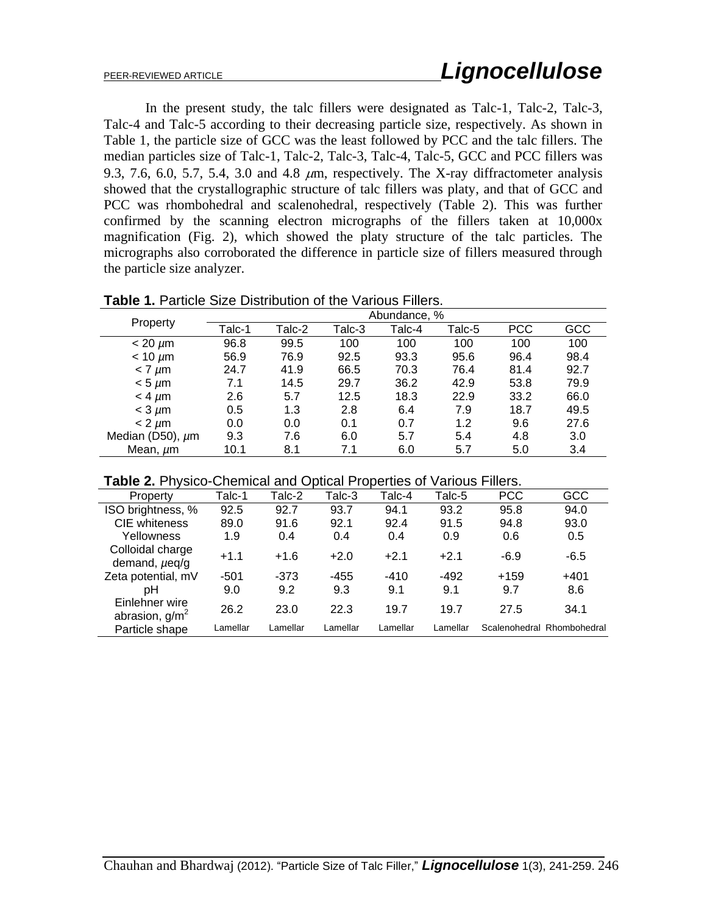In the present study, the talc fillers were designated as Talc-1, Talc-2, Talc-3, Talc-4 and Talc-5 according to their decreasing particle size, respectively. As shown in Table 1, the particle size of GCC was the least followed by PCC and the talc fillers. The median particles size of Talc-1, Talc-2, Talc-3, Talc-4, Talc-5, GCC and PCC fillers was 9.3, 7.6, 6.0, 5.7, 5.4, 3.0 and 4.8  $\mu$ m, respectively. The X-ray diffractometer analysis showed that the crystallographic structure of talc fillers was platy, and that of GCC and PCC was rhombohedral and scalenohedral, respectively (Table 2). This was further confirmed by the scanning electron micrographs of the fillers taken at 10,000x magnification (Fig. 2), which showed the platy structure of the talc particles. The micrographs also corroborated the difference in particle size of fillers measured through the particle size analyzer.

| Property         | Abundance, % |        |        |        |        |            |      |  |
|------------------|--------------|--------|--------|--------|--------|------------|------|--|
|                  | Talc-1       | Talc-2 | Talc-3 | Talc-4 | Talc-5 | <b>PCC</b> | GCC  |  |
| $< 20 \mu m$     | 96.8         | 99.5   | 100    | 100    | 100    | 100        | 100  |  |
| $< 10 \mu m$     | 56.9         | 76.9   | 92.5   | 93.3   | 95.6   | 96.4       | 98.4 |  |
| $< 7 \mu m$      | 24.7         | 41.9   | 66.5   | 70.3   | 76.4   | 81.4       | 92.7 |  |
| $< 5 \mu m$      | 7.1          | 14.5   | 29.7   | 36.2   | 42.9   | 53.8       | 79.9 |  |
| $<$ 4 $\mu$ m    | 2.6          | 5.7    | 12.5   | 18.3   | 22.9   | 33.2       | 66.0 |  |
| $<$ 3 $\mu$ m    | 0.5          | 1.3    | 2.8    | 6.4    | 7.9    | 18.7       | 49.5 |  |
| $< 2 \mu m$      | 0.0          | 0.0    | 0.1    | 0.7    | 1.2    | 9.6        | 27.6 |  |
| Median (D50), µm | 9.3          | 7.6    | 6.0    | 5.7    | 5.4    | 4.8        | 3.0  |  |
| Mean, µm         | 10.1         | 8.1    | 7.1    | 6.0    | 5.7    | 5.0        | 3.4  |  |

**Table 1.** Particle Size Distribution of the Various Fillers.

|  | Table 2. Physico-Chemical and Optical Properties of Various Fillers. |  |  |  |
|--|----------------------------------------------------------------------|--|--|--|
|--|----------------------------------------------------------------------|--|--|--|

| <b>TUDIO ET LITTUOIDO OFICITIVAL ATIU O DUCUL LIT</b><br>uwu uu u<br>$\mathbf v$ and $\mathbf v$ is the set of $\mathbf v$ |          |          |          |          |          |            |                            |
|----------------------------------------------------------------------------------------------------------------------------|----------|----------|----------|----------|----------|------------|----------------------------|
| Property                                                                                                                   | Talc-1   | Talc-2   | Talc-3   | Talc-4   | Talc-5   | <b>PCC</b> | GCC                        |
| ISO brightness, %                                                                                                          | 92.5     | 92.7     | 93.7     | 94.1     | 93.2     | 95.8       | 94.0                       |
| <b>CIE</b> whiteness                                                                                                       | 89.0     | 91.6     | 92.1     | 92.4     | 91.5     | 94.8       | 93.0                       |
| Yellowness                                                                                                                 | 1.9      | 0.4      | 0.4      | 0.4      | 0.9      | 0.6        | 0.5                        |
| Colloidal charge<br>demand, $\mu$ eq/g                                                                                     | $+1.1$   | $+1.6$   | $+2.0$   | $+2.1$   | $+2.1$   | $-6.9$     | $-6.5$                     |
| Zeta potential, mV                                                                                                         | $-501$   | $-373$   | $-455$   | $-410$   | $-492$   | $+159$     | $+401$                     |
| pН                                                                                                                         | 9.0      | 9.2      | 9.3      | 9.1      | 9.1      | 9.7        | 8.6                        |
| Einlehner wire<br>abrasion, $g/m^2$                                                                                        | 26.2     | 23.0     | 22.3     | 19.7     | 19.7     | 27.5       | 34.1                       |
| Particle shape                                                                                                             | Lamellar | Lamellar | Lamellar | Lamellar | Lamellar |            | Scalenohedral Rhombohedral |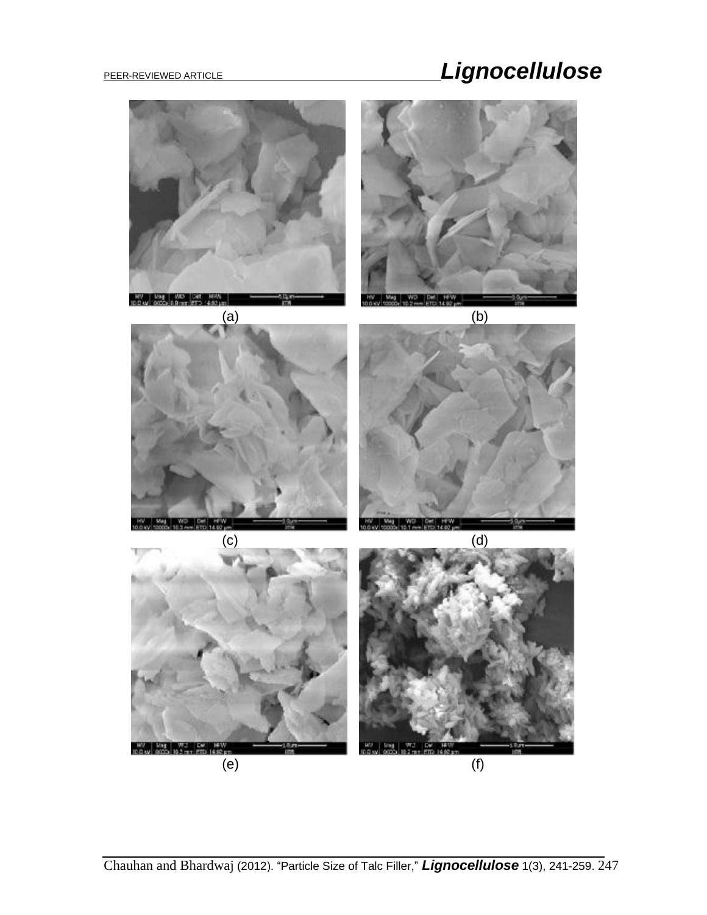

Chauhan and Bhardwaj (2012). "Particle Size of Talc Filler," *Lignocellulose* 1(3), 241-259. 247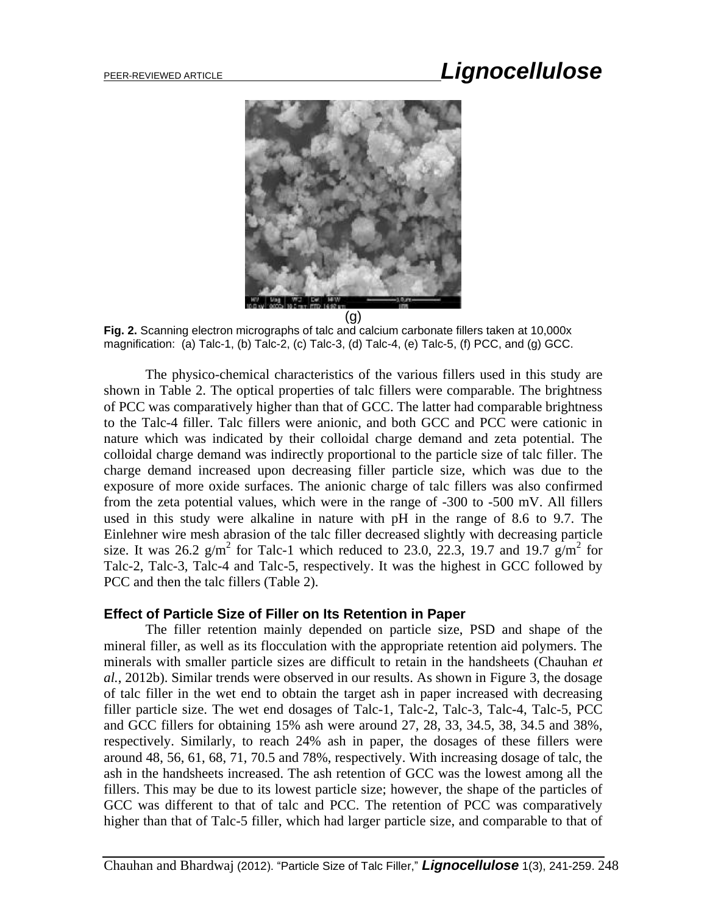

**Fig. 2.** Scanning electron micrographs of talc and calcium carbonate fillers taken at 10,000x magnification: (a) Talc-1, (b) Talc-2, (c) Talc-3, (d) Talc-4, (e) Talc-5, (f) PCC, and (g) GCC.

The physico-chemical characteristics of the various fillers used in this study are shown in Table 2. The optical properties of talc fillers were comparable. The brightness of PCC was comparatively higher than that of GCC. The latter had comparable brightness to the Talc-4 filler. Talc fillers were anionic, and both GCC and PCC were cationic in nature which was indicated by their colloidal charge demand and zeta potential. The colloidal charge demand was indirectly proportional to the particle size of talc filler. The charge demand increased upon decreasing filler particle size, which was due to the exposure of more oxide surfaces. The anionic charge of talc fillers was also confirmed from the zeta potential values, which were in the range of -300 to -500 mV. All fillers used in this study were alkaline in nature with pH in the range of 8.6 to 9.7. The Einlehner wire mesh abrasion of the talc filler decreased slightly with decreasing particle size. It was 26.2  $g/m^2$  for Talc-1 which reduced to 23.0, 22.3, 19.7 and 19.7  $g/m^2$  for Talc-2, Talc-3, Talc-4 and Talc-5, respectively. It was the highest in GCC followed by PCC and then the talc fillers (Table 2).

### **Effect of Particle Size of Filler on Its Retention in Paper**

The filler retention mainly depended on particle size, PSD and shape of the mineral filler, as well as its flocculation with the appropriate retention aid polymers. The minerals with smaller particle sizes are difficult to retain in the handsheets (Chauhan *et al.*, 2012b). Similar trends were observed in our results. As shown in Figure 3, the dosage of talc filler in the wet end to obtain the target ash in paper increased with decreasing filler particle size. The wet end dosages of Talc-1, Talc-2, Talc-3, Talc-4, Talc-5, PCC and GCC fillers for obtaining 15% ash were around 27, 28, 33, 34.5, 38, 34.5 and 38%, respectively. Similarly, to reach 24% ash in paper, the dosages of these fillers were around 48, 56, 61, 68, 71, 70.5 and 78%, respectively. With increasing dosage of talc, the ash in the handsheets increased. The ash retention of GCC was the lowest among all the fillers. This may be due to its lowest particle size; however, the shape of the particles of GCC was different to that of talc and PCC. The retention of PCC was comparatively higher than that of Talc-5 filler, which had larger particle size, and comparable to that of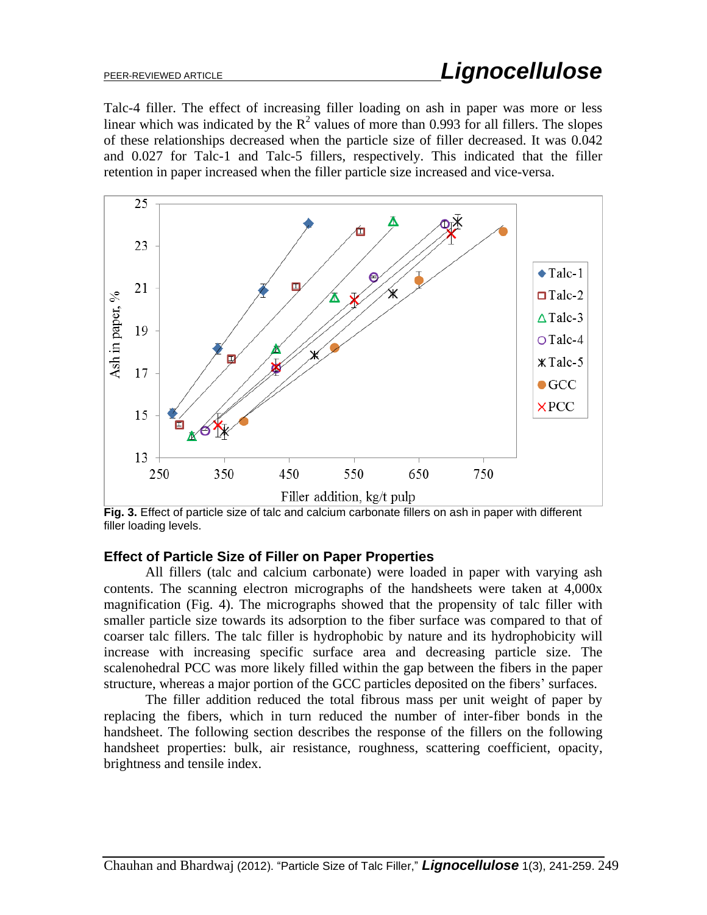Talc-4 filler. The effect of increasing filler loading on ash in paper was more or less linear which was indicated by the  $R^2$  values of more than 0.993 for all fillers. The slopes of these relationships decreased when the particle size of filler decreased. It was 0.042 and 0.027 for Talc-1 and Talc-5 fillers, respectively. This indicated that the filler retention in paper increased when the filler particle size increased and vice-versa.



**Fig. 3.** Effect of particle size of talc and calcium carbonate fillers on ash in paper with different filler loading levels.

### **Effect of Particle Size of Filler on Paper Properties**

All fillers (talc and calcium carbonate) were loaded in paper with varying ash contents. The scanning electron micrographs of the handsheets were taken at 4,000x magnification (Fig. 4). The micrographs showed that the propensity of talc filler with smaller particle size towards its adsorption to the fiber surface was compared to that of coarser talc fillers. The talc filler is hydrophobic by nature and its hydrophobicity will increase with increasing specific surface area and decreasing particle size. The scalenohedral PCC was more likely filled within the gap between the fibers in the paper structure, whereas a major portion of the GCC particles deposited on the fibers' surfaces.

The filler addition reduced the total fibrous mass per unit weight of paper by replacing the fibers, which in turn reduced the number of inter-fiber bonds in the handsheet. The following section describes the response of the fillers on the following handsheet properties: bulk, air resistance, roughness, scattering coefficient, opacity, brightness and tensile index.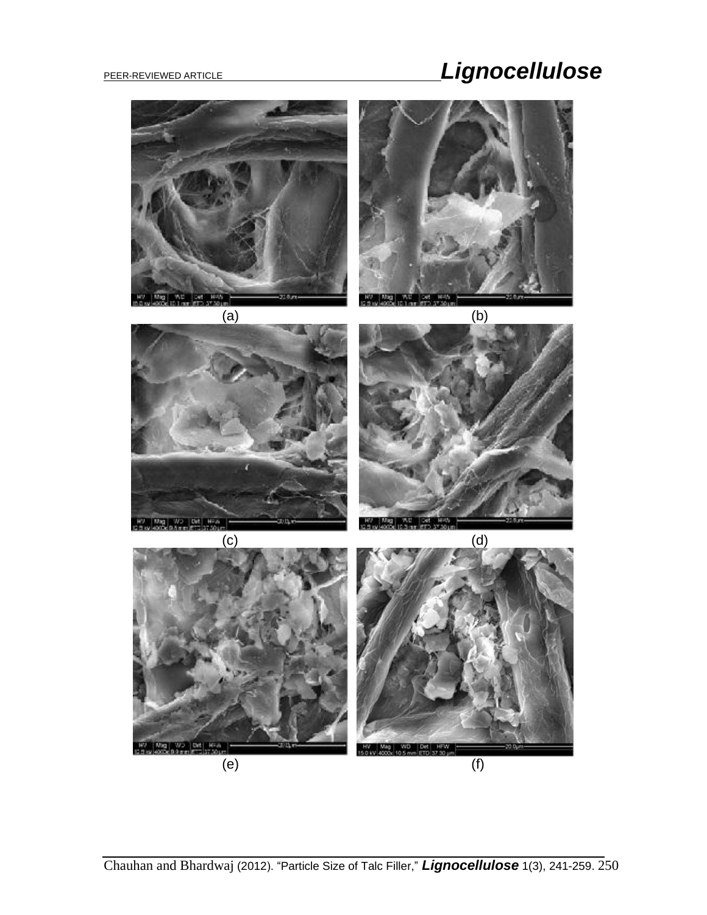# PEER-REVIEWED ARTICLE **And Contract Contract Contract Contract Contract Contract Contract Contract Contract Contract Contract Contract Contract Contract Contract Contract Contract Contract Contract Contract Contract Contra**

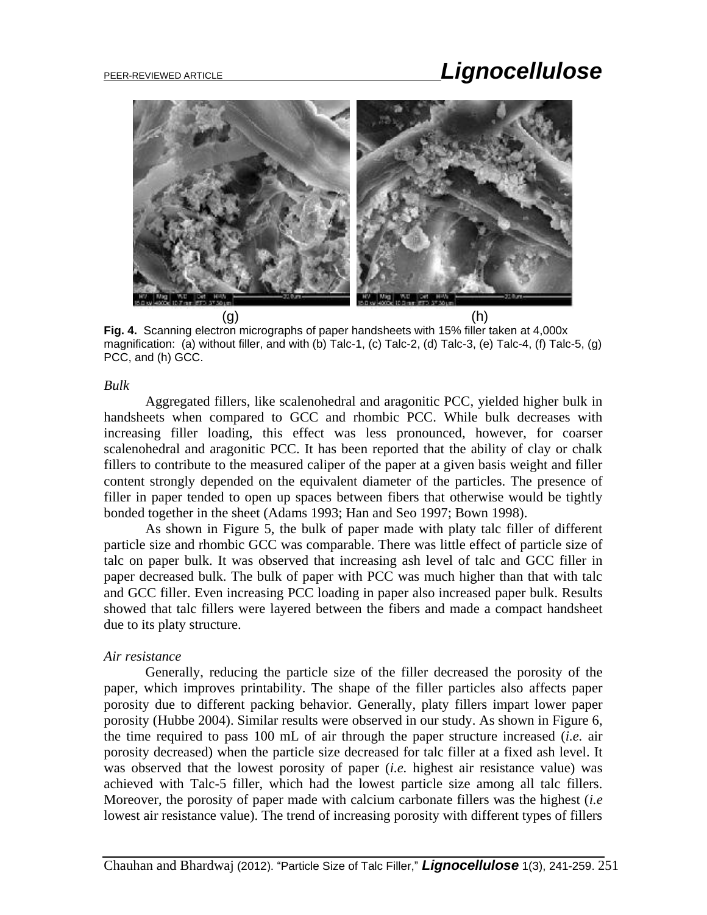

**Fig. 4.** Scanning electron micrographs of paper handsheets with 15% filler taken at 4,000x magnification: (a) without filler, and with (b) Talc-1, (c) Talc-2, (d) Talc-3, (e) Talc-4, (f) Talc-5, (g) PCC, and (h) GCC.

### *Bulk*

Aggregated fillers, like scalenohedral and aragonitic PCC, yielded higher bulk in handsheets when compared to GCC and rhombic PCC. While bulk decreases with increasing filler loading, this effect was less pronounced, however, for coarser scalenohedral and aragonitic PCC. It has been reported that the ability of clay or chalk fillers to contribute to the measured caliper of the paper at a given basis weight and filler content strongly depended on the equivalent diameter of the particles. The presence of filler in paper tended to open up spaces between fibers that otherwise would be tightly bonded together in the sheet (Adams 1993; Han and Seo 1997; Bown 1998).

As shown in Figure 5, the bulk of paper made with platy talc filler of different particle size and rhombic GCC was comparable. There was little effect of particle size of talc on paper bulk. It was observed that increasing ash level of talc and GCC filler in paper decreased bulk. The bulk of paper with PCC was much higher than that with talc and GCC filler. Even increasing PCC loading in paper also increased paper bulk. Results showed that talc fillers were layered between the fibers and made a compact handsheet due to its platy structure.

### *Air resistance*

Generally, reducing the particle size of the filler decreased the porosity of the paper, which improves printability. The shape of the filler particles also affects paper porosity due to different packing behavior. Generally, platy fillers impart lower paper porosity (Hubbe 2004). Similar results were observed in our study. As shown in Figure 6, the time required to pass 100 mL of air through the paper structure increased (*i.e.* air porosity decreased) when the particle size decreased for talc filler at a fixed ash level. It was observed that the lowest porosity of paper (*i.e.* highest air resistance value) was achieved with Talc-5 filler, which had the lowest particle size among all talc fillers. Moreover, the porosity of paper made with calcium carbonate fillers was the highest (*i.e* lowest air resistance value). The trend of increasing porosity with different types of fillers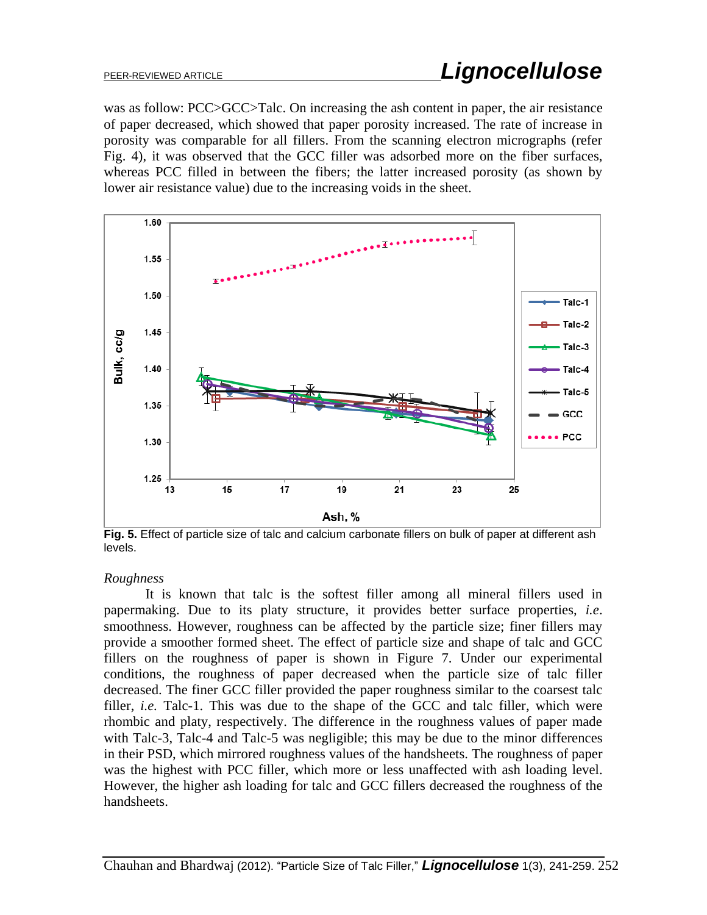was as follow: PCC>GCC>Talc. On increasing the ash content in paper, the air resistance of paper decreased, which showed that paper porosity increased. The rate of increase in porosity was comparable for all fillers. From the scanning electron micrographs (refer Fig. 4), it was observed that the GCC filler was adsorbed more on the fiber surfaces, whereas PCC filled in between the fibers; the latter increased porosity (as shown by lower air resistance value) due to the increasing voids in the sheet.



**Fig. 5.** Effect of particle size of talc and calcium carbonate fillers on bulk of paper at different ash levels.

### *Roughness*

It is known that talc is the softest filler among all mineral fillers used in papermaking. Due to its platy structure, it provides better surface properties, *i.e*. smoothness. However, roughness can be affected by the particle size; finer fillers may provide a smoother formed sheet. The effect of particle size and shape of talc and GCC fillers on the roughness of paper is shown in Figure 7. Under our experimental conditions, the roughness of paper decreased when the particle size of talc filler decreased. The finer GCC filler provided the paper roughness similar to the coarsest talc filler, *i.e.* Talc-1. This was due to the shape of the GCC and talc filler, which were rhombic and platy, respectively. The difference in the roughness values of paper made with Talc-3, Talc-4 and Talc-5 was negligible; this may be due to the minor differences in their PSD, which mirrored roughness values of the handsheets. The roughness of paper was the highest with PCC filler, which more or less unaffected with ash loading level. However, the higher ash loading for talc and GCC fillers decreased the roughness of the handsheets.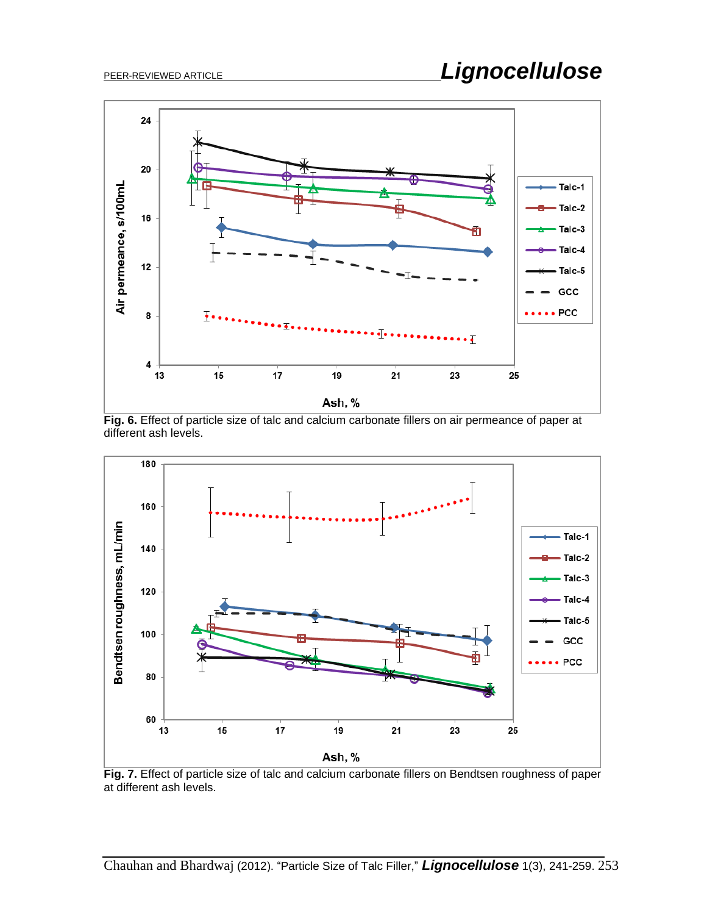

**Fig. 6.** Effect of particle size of talc and calcium carbonate fillers on air permeance of paper at different ash levels.



**Fig. 7.** Effect of particle size of talc and calcium carbonate fillers on Bendtsen roughness of paper at different ash levels.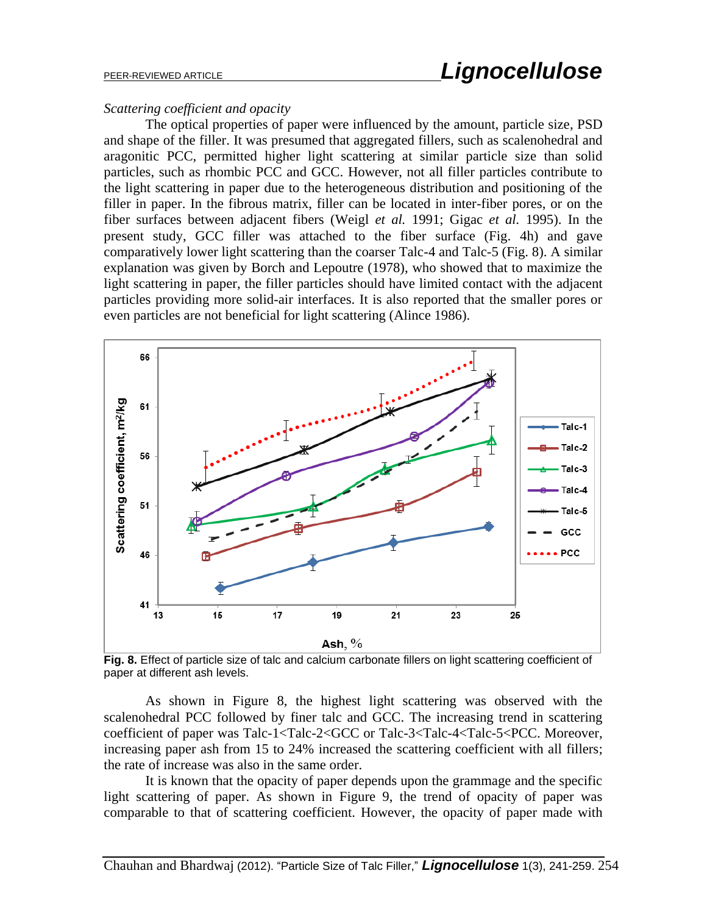#### *Scattering coefficient and opacity*

The optical properties of paper were influenced by the amount, particle size, PSD and shape of the filler. It was presumed that aggregated fillers, such as scalenohedral and aragonitic PCC, permitted higher light scattering at similar particle size than solid particles, such as rhombic PCC and GCC. However, not all filler particles contribute to the light scattering in paper due to the heterogeneous distribution and positioning of the filler in paper. In the fibrous matrix, filler can be located in inter-fiber pores, or on the fiber surfaces between adjacent fibers (Weigl *et al.* 1991; Gigac *et al.* 1995). In the present study, GCC filler was attached to the fiber surface (Fig. 4h) and gave comparatively lower light scattering than the coarser Talc-4 and Talc-5 (Fig. 8). A similar explanation was given by Borch and Lepoutre (1978), who showed that to maximize the light scattering in paper, the filler particles should have limited contact with the adjacent particles providing more solid-air interfaces. It is also reported that the smaller pores or even particles are not beneficial for light scattering (Alince 1986).



**Fig. 8.** Effect of particle size of talc and calcium carbonate fillers on light scattering coefficient of paper at different ash levels.

As shown in Figure 8, the highest light scattering was observed with the scalenohedral PCC followed by finer talc and GCC. The increasing trend in scattering coefficient of paper was Talc-1<Talc-2<GCC or Talc-3<Talc-4<Talc-5<PCC. Moreover, increasing paper ash from 15 to 24% increased the scattering coefficient with all fillers; the rate of increase was also in the same order.

It is known that the opacity of paper depends upon the grammage and the specific light scattering of paper. As shown in Figure 9, the trend of opacity of paper was comparable to that of scattering coefficient. However, the opacity of paper made with

Chauhan and Bhardwaj (2012). "Particle Size of Talc Filler," *Lignocellulose* 1(3), 241-259. 254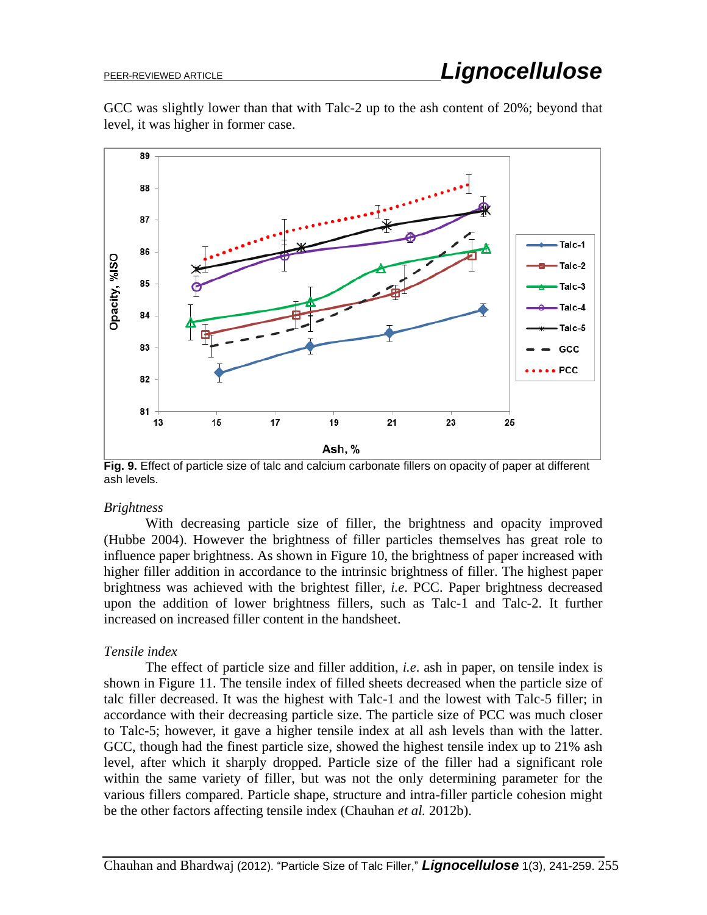GCC was slightly lower than that with Talc-2 up to the ash content of 20%; beyond that level, it was higher in former case.



**Fig. 9.** Effect of particle size of talc and calcium carbonate fillers on opacity of paper at different ash levels.

### *Brightness*

With decreasing particle size of filler, the brightness and opacity improved (Hubbe 2004). However the brightness of filler particles themselves has great role to influence paper brightness. As shown in Figure 10, the brightness of paper increased with higher filler addition in accordance to the intrinsic brightness of filler. The highest paper brightness was achieved with the brightest filler, *i.e*. PCC. Paper brightness decreased upon the addition of lower brightness fillers, such as Talc-1 and Talc-2. It further increased on increased filler content in the handsheet.

### *Tensile index*

The effect of particle size and filler addition, *i.e*. ash in paper, on tensile index is shown in Figure 11. The tensile index of filled sheets decreased when the particle size of talc filler decreased. It was the highest with Talc-1 and the lowest with Talc-5 filler; in accordance with their decreasing particle size. The particle size of PCC was much closer to Talc-5; however, it gave a higher tensile index at all ash levels than with the latter. GCC, though had the finest particle size, showed the highest tensile index up to 21% ash level, after which it sharply dropped. Particle size of the filler had a significant role within the same variety of filler, but was not the only determining parameter for the various fillers compared. Particle shape, structure and intra-filler particle cohesion might be the other factors affecting tensile index (Chauhan *et al.* 2012b).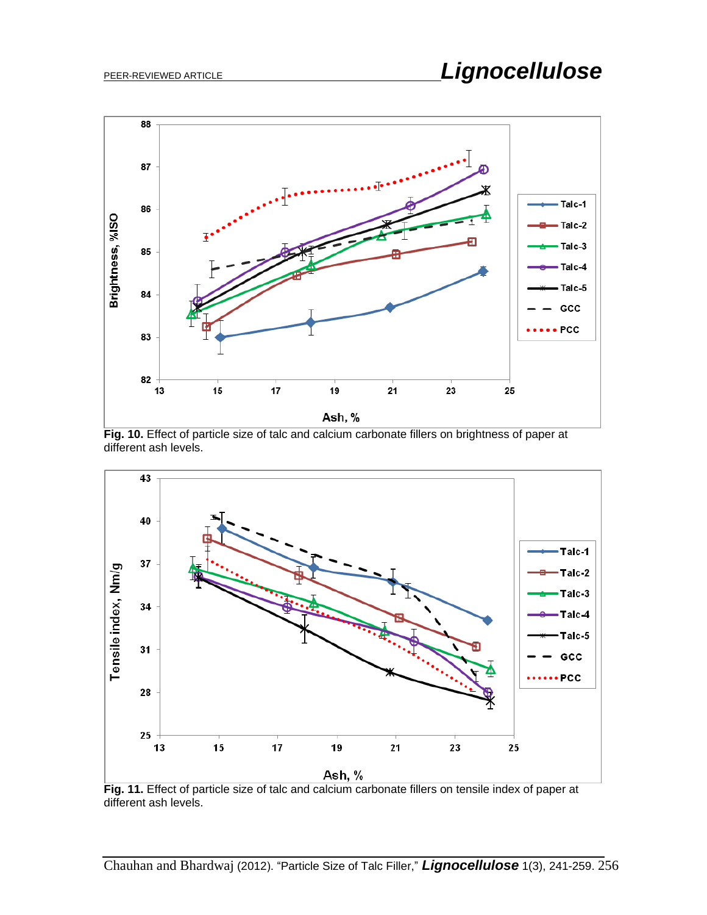

**Fig. 10.** Effect of particle size of talc and calcium carbonate fillers on brightness of paper at different ash levels.



**Fig. 11.** Effect of particle size of talc and calcium carbonate fillers on tensile index of paper at different ash levels.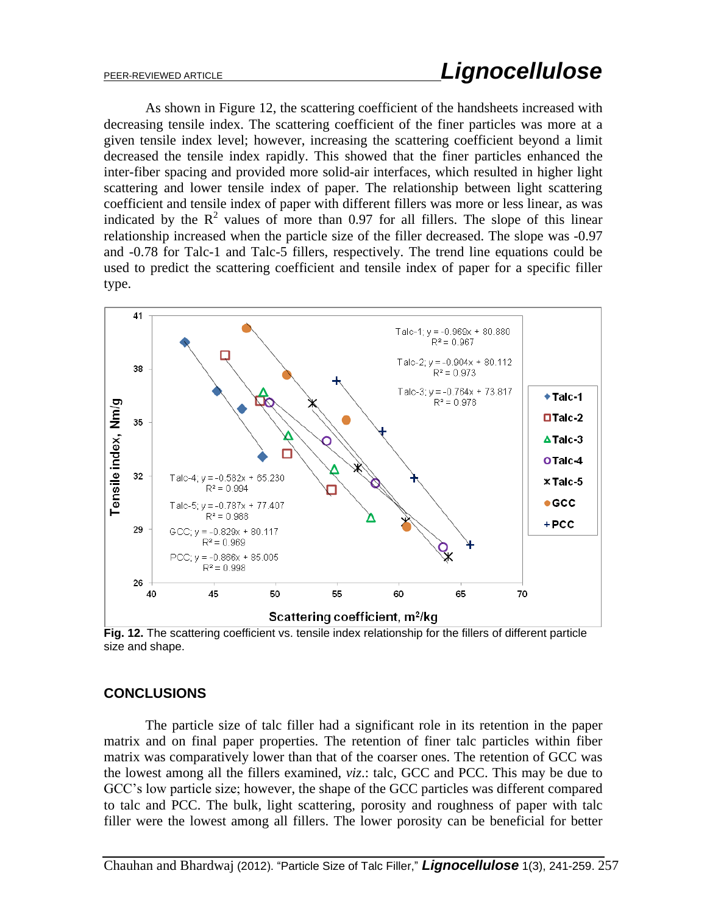As shown in Figure 12, the scattering coefficient of the handsheets increased with decreasing tensile index. The scattering coefficient of the finer particles was more at a given tensile index level; however, increasing the scattering coefficient beyond a limit decreased the tensile index rapidly. This showed that the finer particles enhanced the inter-fiber spacing and provided more solid-air interfaces, which resulted in higher light scattering and lower tensile index of paper. The relationship between light scattering coefficient and tensile index of paper with different fillers was more or less linear, as was indicated by the  $R^2$  values of more than 0.97 for all fillers. The slope of this linear relationship increased when the particle size of the filler decreased. The slope was -0.97 and -0.78 for Talc-1 and Talc-5 fillers, respectively. The trend line equations could be used to predict the scattering coefficient and tensile index of paper for a specific filler type.



**Fig. 12.** The scattering coefficient vs. tensile index relationship for the fillers of different particle size and shape.

### **CONCLUSIONS**

The particle size of talc filler had a significant role in its retention in the paper matrix and on final paper properties. The retention of finer talc particles within fiber matrix was comparatively lower than that of the coarser ones. The retention of GCC was the lowest among all the fillers examined, *viz*.: talc, GCC and PCC. This may be due to GCC's low particle size; however, the shape of the GCC particles was different compared to talc and PCC. The bulk, light scattering, porosity and roughness of paper with talc filler were the lowest among all fillers. The lower porosity can be beneficial for better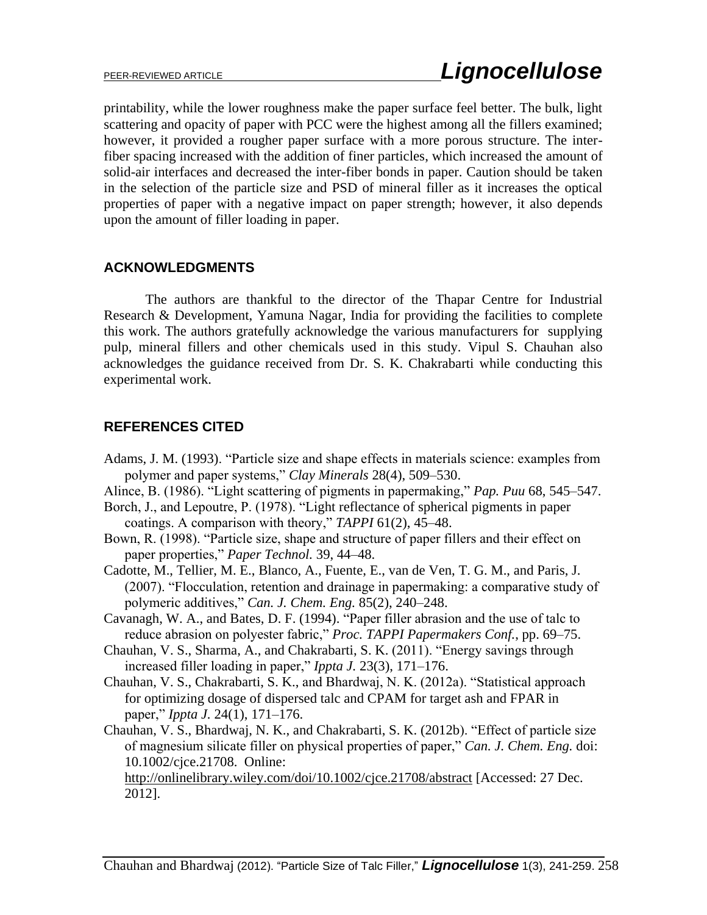printability, while the lower roughness make the paper surface feel better. The bulk, light scattering and opacity of paper with PCC were the highest among all the fillers examined; however, it provided a rougher paper surface with a more porous structure. The interfiber spacing increased with the addition of finer particles, which increased the amount of solid-air interfaces and decreased the inter-fiber bonds in paper. Caution should be taken in the selection of the particle size and PSD of mineral filler as it increases the optical properties of paper with a negative impact on paper strength; however, it also depends upon the amount of filler loading in paper.

### **ACKNOWLEDGMENTS**

The authors are thankful to the director of the Thapar Centre for Industrial Research & Development, Yamuna Nagar, India for providing the facilities to complete this work. The authors gratefully acknowledge the various manufacturers for supplying pulp, mineral fillers and other chemicals used in this study. Vipul S. Chauhan also acknowledges the guidance received from Dr. S. K. Chakrabarti while conducting this experimental work.

### **REFERENCES CITED**

- Adams, J. M. (1993). "Particle size and shape effects in materials science: examples from polymer and paper systems," *Clay Minerals* 28(4), 509–530.
- Alince, B. (1986). "Light scattering of pigments in papermaking," *Pap. Puu* 68, 545–547.
- Borch, J., and Lepoutre, P. (1978). "Light reflectance of spherical pigments in paper coatings. A comparison with theory," *TAPPI* 61(2), 45–48.
- Bown, R. (1998). "Particle size, shape and structure of paper fillers and their effect on paper properties," *Paper Technol.* 39, 44–48.
- Cadotte, M., Tellier, M. E., Blanco, A., Fuente, E., van de Ven, T. G. M., and Paris, J. (2007). "Flocculation, retention and drainage in papermaking: a comparative study of polymeric additives," *Can. J. Chem. Eng.* 85(2), 240–248.
- Cavanagh, W. A., and Bates, D. F. (1994). "Paper filler abrasion and the use of talc to reduce abrasion on polyester fabric," *Proc. TAPPI Papermakers Conf.*, pp. 69–75.
- Chauhan, V. S., Sharma, A., and Chakrabarti, S. K. (2011). "Energy savings through increased filler loading in paper," *Ippta J.* 23(3), 171–176.
- Chauhan, V. S., Chakrabarti, S. K., and Bhardwaj, N. K. (2012a). "Statistical approach for optimizing dosage of dispersed talc and CPAM for target ash and FPAR in paper," *Ippta J.* 24(1), 171–176.
- Chauhan, V. S., Bhardwaj, N. K., and Chakrabarti, S. K. (2012b). "Effect of particle size of magnesium silicate filler on physical properties of paper," *Can. J. Chem. Eng.* doi: 10.1002/cjce.21708. Online:

<http://onlinelibrary.wiley.com/doi/10.1002/cjce.21708/abstract> [Accessed: 27 Dec. 2012].